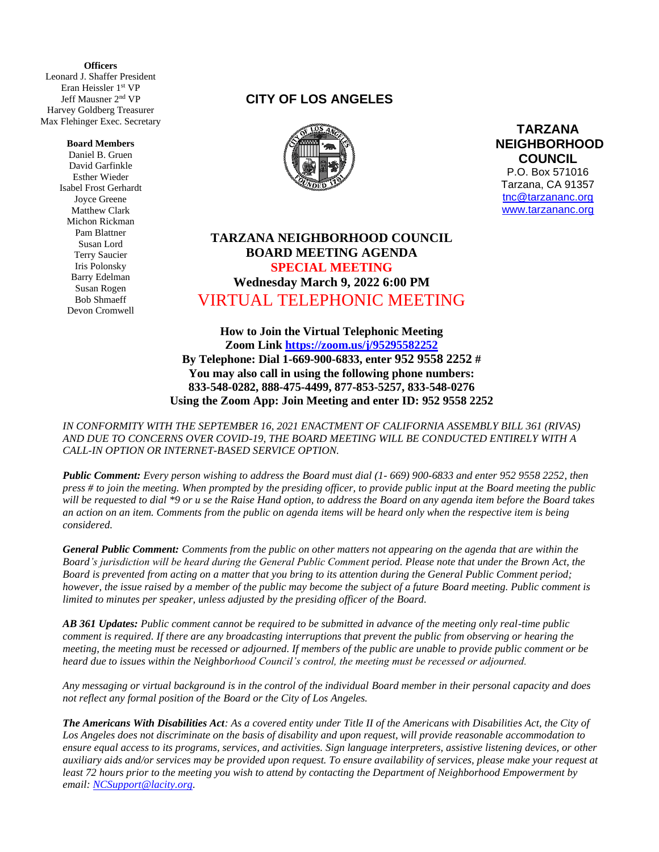**(** Leonard J. Shaffer President **Officers** Eran Heissler 1st VP Jeff Mausner 2 nd VP Harvey Goldberg Treasurer Max Flehinger Exec. Secretary

#### **Board Members**

Daniel B. Gruen David Garfinkle Esther Wieder Isabel Frost Gerhardt Joyce Greene Matthew Clark Michon Rickman Pam Blattner Susan Lord Terry Saucier Iris Polonsky Barry Edelman Susan Rogen Bob Shmaeff Devon Cromwell

## **CITY OF LOS ANGELES**



**TARZANA NEIGHBORHOOD COUNCIL**  P.O. Box 571016 Tarzana, CA 91357 [tnc@tarzananc.org](mailto:tnc@tarzananc.org) [www.tarzananc.org](http://www.tarzananc.org/)

# **TARZANA NEIGHBORHOOD COUNCIL BOARD MEETING AGENDA SPECIAL MEETING Wednesday March 9, 2022 6:00 PM** VIRTUAL TELEPHONIC MEETING

**How to Join the Virtual Telephonic Meeting Zoom Link<https://zoom.us/j/95295582252> By Telephone: Dial 1-669-900-6833, enter 952 9558 2252 # You may also call in using the following phone numbers: 833-548-0282, 888-475-4499, 877-853-5257, 833-548-0276 Using the Zoom App: Join Meeting and enter ID: 952 9558 2252**

*IN CONFORMITY WITH THE SEPTEMBER 16, 2021 ENACTMENT OF CALIFORNIA ASSEMBLY BILL 361 (RIVAS) AND DUE TO CONCERNS OVER COVID-19, THE BOARD MEETING WILL BE CONDUCTED ENTIRELY WITH A CALL-IN OPTION OR INTERNET-BASED SERVICE OPTION.* 

*Public Comment: Every person wishing to address the Board must dial (1- 669) 900-6833 and enter 952 9558 2252, then press # to join the meeting. When prompted by the presiding officer, to provide public input at the Board meeting the public will be requested to dial \*9 or u se the Raise Hand option, to address the Board on any agenda item before the Board takes an action on an item. Comments from the public on agenda items will be heard only when the respective item is being considered.*

*General Public Comment: Comments from the public on other matters not appearing on the agenda that are within the Board's jurisdiction will be heard during the General Public Comment period. Please note that under the Brown Act, the Board is prevented from acting on a matter that you bring to its attention during the General Public Comment period; however, the issue raised by a member of the public may become the subject of a future Board meeting. Public comment is limited to minutes per speaker, unless adjusted by the presiding officer of the Board.*

*AB 361 Updates: Public comment cannot be required to be submitted in advance of the meeting only real-time public comment is required. If there are any broadcasting interruptions that prevent the public from observing or hearing the meeting, the meeting must be recessed or adjourned. If members of the public are unable to provide public comment or be heard due to issues within the Neighborhood Council's control, the meeting must be recessed or adjourned.*

*Any messaging or virtual background is in the control of the individual Board member in their personal capacity and does not reflect any formal position of the Board or the City of Los Angeles.*

*The Americans With Disabilities Act: As a covered entity under Title II of the Americans with Disabilities Act, the City of Los Angeles does not discriminate on the basis of disability and upon request, will provide reasonable accommodation to ensure equal access to its programs, services, and activities. Sign language interpreters, assistive listening devices, or other auxiliary aids and/or services may be provided upon request. To ensure availability of services, please make your request at least 72 hours prior to the meeting you wish to attend by contacting the Department of Neighborhood Empowerment by email: [NCSupport@lacity.org.](mailto:NCSupport@lacity.org)*